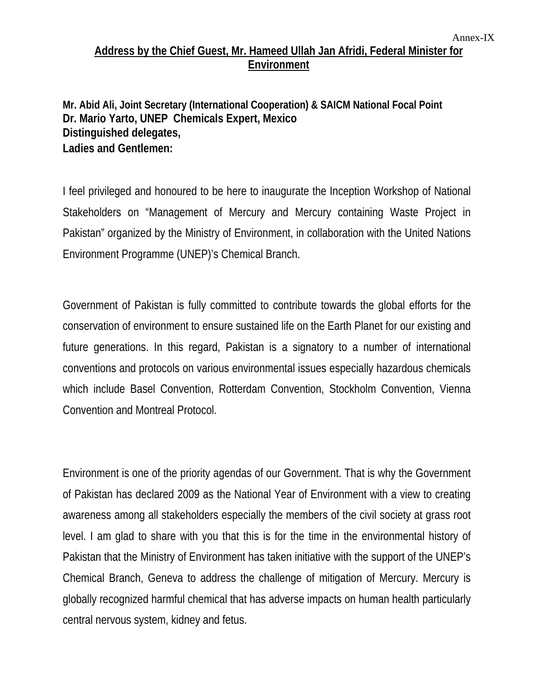## **Address by the Chief Guest, Mr. Hameed Ullah Jan Afridi, Federal Minister for Environment**

**Mr. Abid Ali, Joint Secretary (International Cooperation) & SAICM National Focal Point Dr. Mario Yarto, UNEP Chemicals Expert, Mexico Distinguished delegates, Ladies and Gentlemen:**

I feel privileged and honoured to be here to inaugurate the Inception Workshop of National Stakeholders on "Management of Mercury and Mercury containing Waste Project in Pakistan" organized by the Ministry of Environment, in collaboration with the United Nations Environment Programme (UNEP)'s Chemical Branch.

Government of Pakistan is fully committed to contribute towards the global efforts for the conservation of environment to ensure sustained life on the Earth Planet for our existing and future generations. In this regard, Pakistan is a signatory to a number of international conventions and protocols on various environmental issues especially hazardous chemicals which include Basel Convention, Rotterdam Convention, Stockholm Convention, Vienna Convention and Montreal Protocol.

Environment is one of the priority agendas of our Government. That is why the Government of Pakistan has declared 2009 as the National Year of Environment with a view to creating awareness among all stakeholders especially the members of the civil society at grass root level. I am glad to share with you that this is for the time in the environmental history of Pakistan that the Ministry of Environment has taken initiative with the support of the UNEP's Chemical Branch, Geneva to address the challenge of mitigation of Mercury. Mercury is globally recognized harmful chemical that has adverse impacts on human health particularly central nervous system, kidney and fetus.